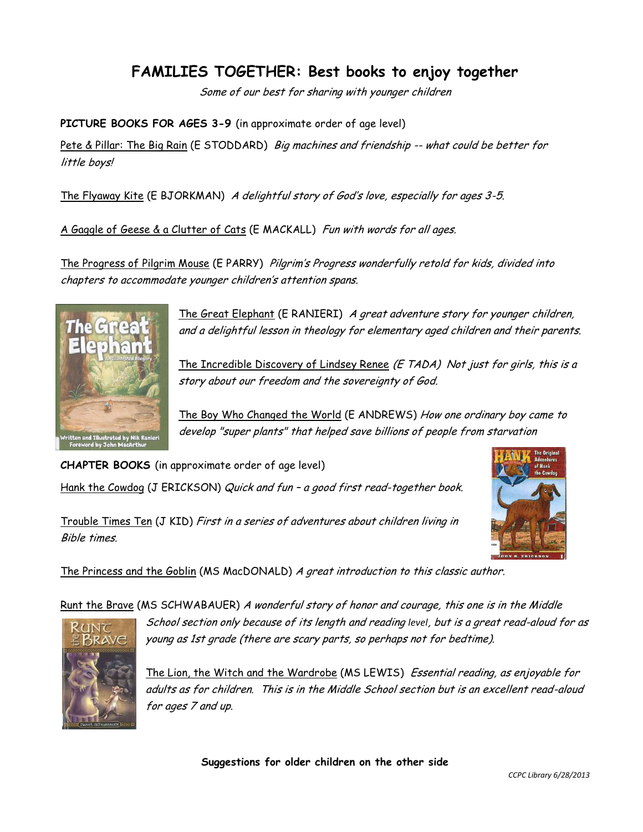## **FAMILIES TOGETHER: Best books to enjoy together**

Some of our best for sharing with younger children

**PICTURE BOOKS FOR AGES 3-9** (in approximate order of age level)

Pete & Pillar: The Big Rain (E STODDARD) Big machines and friendship -- what could be better for little boys!

The Flyaway Kite (E BJORKMAN) A delightful story of God's love, especially for ages 3-5.

A Gaggle of Geese & a Clutter of Cats (E MACKALL) Fun with words for all ages.

The Progress of Pilgrim Mouse (E PARRY) Pilgrim's Progress wonderfully retold for kids, divided into chapters to accommodate younger children's attention spans.



The Great Elephant (E RANIERI) A great adventure story for younger children, and a delightful lesson in theology for elementary aged children and their parents.

The Incredible Discovery of Lindsey Renee (E TADA) Not just for girls, this is a story about our freedom and the sovereignty of God.

The Boy Who Changed the World (E ANDREWS) How one ordinary boy came to develop "super plants" that helped save billions of people from starvation

**CHAPTER BOOKS** (in approximate order of age level)

Hank the Cowdog (J ERICKSON) Quick and fun - a good first read-together book.

Trouble Times Ten (J KID) First in a series of adventures about children living in Bible times.



The Princess and the Goblin (MS MacDONALD) A great introduction to this classic author.

Runt the Brave (MS SCHWABAUER) A wonderful story of honor and courage, this one is in the Middle



School section only because of its length and reading *level*, but is a great read-aloud for as young as 1st grade (there are scary parts, so perhaps not for bedtime).

The Lion, the Witch and the Wardrobe (MS LEWIS) Essential reading, as enjoyable for adults as for children. This is in the Middle School section but is an excellent read-aloud for ages 7 and up.

**Suggestions for older children on the other side**